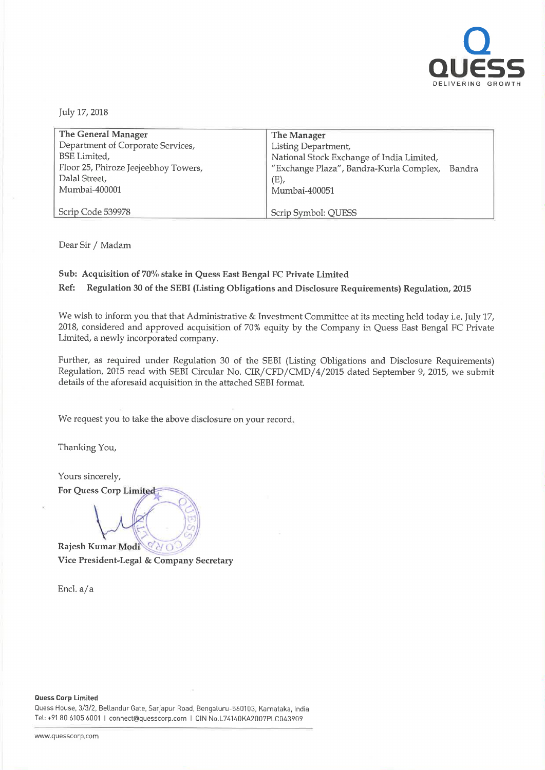

July 17, 2018

| The General Manager                  | The Manager                                    |
|--------------------------------------|------------------------------------------------|
| Department of Corporate Services,    | Listing Department,                            |
| <b>BSE</b> Limited,                  | National Stock Exchange of India Limited,      |
| Floor 25, Phiroze Jeejeebhoy Towers, | "Exchange Plaza", Bandra-Kurla Complex, Bandra |
| Dalal Street,                        | $(E)$ ,                                        |
| Mumbai-400001                        | Mumbai-400051                                  |
|                                      |                                                |
| Scrip Code 539978                    | Scrip Symbol: QUESS                            |

Dear Sir / Madam

## Sub: Acquisition of 70% stake in Quess East Bengal FC Private Limited

Ref: Regulation <sup>30</sup> of the SEBI (Listing Obligations and Disclosure Requirements) Regulation, <sup>2015</sup>

We wish to inform you that that Administrative & Investment Committee at its meeting held today i.e. July 17, 2018, considered and approved acquisition of 70% equity by the Company in Quess East Bengal FC Private Limited, <sup>a</sup> newly incorporated company.

Further, as required under Regulation <sup>30</sup> of the SEBI (Listing Obligations and Disclosure Requirements) Regulation, <sup>2015</sup> read with SEBI Circular No. CIR/CFD/CMD/4/ <sup>2015</sup> dated September 9, 2015, we submit details of the aforesaid acquisition in the attached SEBI format.

We request you to take the above disclosure on your record.

 $\mathcal{D}\mathcal{N}$ .'\

 $1 - \frac{1}{2}$ 

Thanking You,

Yours sincerely, For Quess Corp Limited

EV Rajesh Kumar Modi  $Q''$ 3'!" Vice President-Legal & Company Secretary

Enc1.a/a

Guess Corp Limited

Quess House, 3/3/2, Bellandur Gate. Sarjapur Road. Bengaluru—560103, Karnataka, India Tel: +91 80 6105 <sup>6001</sup> <sup>|</sup> connect@quesscorp.com <sup>|</sup> CIN No.L74140KA2007PL0043909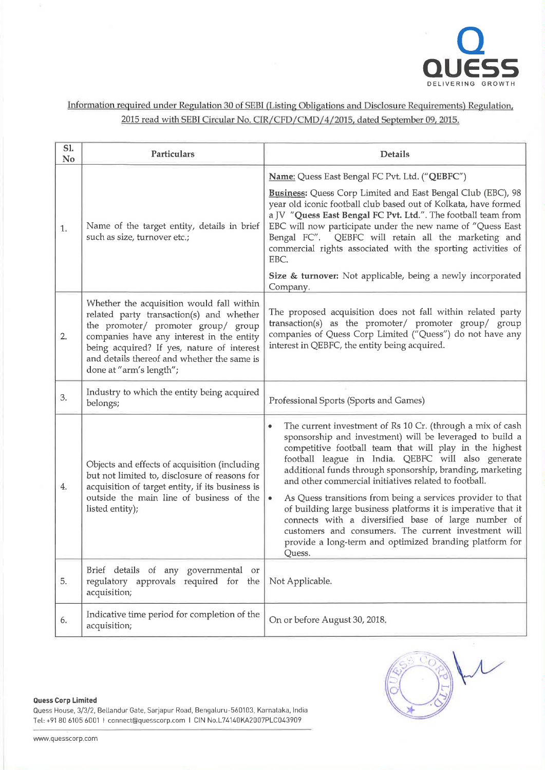

Information required under Regulation 30 of SE81 (Listing Obligations and Disclosure Requirements) Regulation, 2015 read with SEBI Circular No. CIR/CFD/CMD/4/2015, dated September 09, 2015.

| S1.<br>N <sub>o</sub> | Particulars                                                                                                                                                                                                                                                                                       | Details                                                                                                                                                                                                                                                                                                                                                                                                                                                                                                                                                                                                                                                                                             |
|-----------------------|---------------------------------------------------------------------------------------------------------------------------------------------------------------------------------------------------------------------------------------------------------------------------------------------------|-----------------------------------------------------------------------------------------------------------------------------------------------------------------------------------------------------------------------------------------------------------------------------------------------------------------------------------------------------------------------------------------------------------------------------------------------------------------------------------------------------------------------------------------------------------------------------------------------------------------------------------------------------------------------------------------------------|
|                       |                                                                                                                                                                                                                                                                                                   | Name: Quess East Bengal FC Pvt. Ltd. ("QEBFC")                                                                                                                                                                                                                                                                                                                                                                                                                                                                                                                                                                                                                                                      |
| 1.                    | Name of the target entity, details in brief<br>such as size, turnover etc.;                                                                                                                                                                                                                       | Business: Quess Corp Limited and East Bengal Club (EBC), 98<br>year old iconic football club based out of Kolkata, have formed<br>a JV "Quess East Bengal FC Pvt. Ltd.". The football team from<br>EBC will now participate under the new name of "Quess East<br>Bengal FC". QEBFC will retain all the marketing and<br>commercial rights associated with the sporting activities of<br>EBC.                                                                                                                                                                                                                                                                                                        |
|                       |                                                                                                                                                                                                                                                                                                   | Size & turnover: Not applicable, being a newly incorporated<br>Company.                                                                                                                                                                                                                                                                                                                                                                                                                                                                                                                                                                                                                             |
| 2.                    | Whether the acquisition would fall within<br>related party transaction(s) and whether<br>the promoter/ promoter group/ group<br>companies have any interest in the entity<br>being acquired? If yes, nature of interest<br>and details thereof and whether the same is<br>done at "arm's length"; | The proposed acquisition does not fall within related party<br>transaction(s) as the promoter/ promoter group/ group<br>companies of Quess Corp Limited ("Quess") do not have any<br>interest in QEBFC, the entity being acquired.                                                                                                                                                                                                                                                                                                                                                                                                                                                                  |
| 3.                    | Industry to which the entity being acquired<br>belongs;                                                                                                                                                                                                                                           | Professional Sports (Sports and Games)                                                                                                                                                                                                                                                                                                                                                                                                                                                                                                                                                                                                                                                              |
| 4.                    | Objects and effects of acquisition (including<br>but not limited to, disclosure of reasons for<br>acquisition of target entity, if its business is<br>outside the main line of business of the<br>listed entity);                                                                                 | The current investment of Rs 10 Cr. (through a mix of cash<br>٠<br>sponsorship and investment) will be leveraged to build a<br>competitive football team that will play in the highest<br>football league in India. QEBFC will also generate<br>additional funds through sponsorship, branding, marketing<br>and other commercial initiatives related to football.<br>As Quess transitions from being a services provider to that<br>$\bullet$<br>of building large business platforms it is imperative that it<br>connects with a diversified base of large number of<br>customers and consumers. The current investment will<br>provide a long-term and optimized branding platform for<br>Quess. |
| 5.                    | Brief details of any governmental<br>or<br>regulatory approvals required for the<br>acquisition;                                                                                                                                                                                                  | Not Applicable.                                                                                                                                                                                                                                                                                                                                                                                                                                                                                                                                                                                                                                                                                     |
| 6.                    | Indicative time period for completion of the<br>acquisition;                                                                                                                                                                                                                                      | On or before August 30, 2018.                                                                                                                                                                                                                                                                                                                                                                                                                                                                                                                                                                                                                                                                       |

Guess Corp Limited

Quess House, 3/3/2, Bellandur Gate, Sarjapur Road, Bengaluru—560103, Karnataka. India Tel: +91 80 6105 6001 | connect@quesscorp.com | CIN No.L74140KA2007PLC043909

 $\mu$